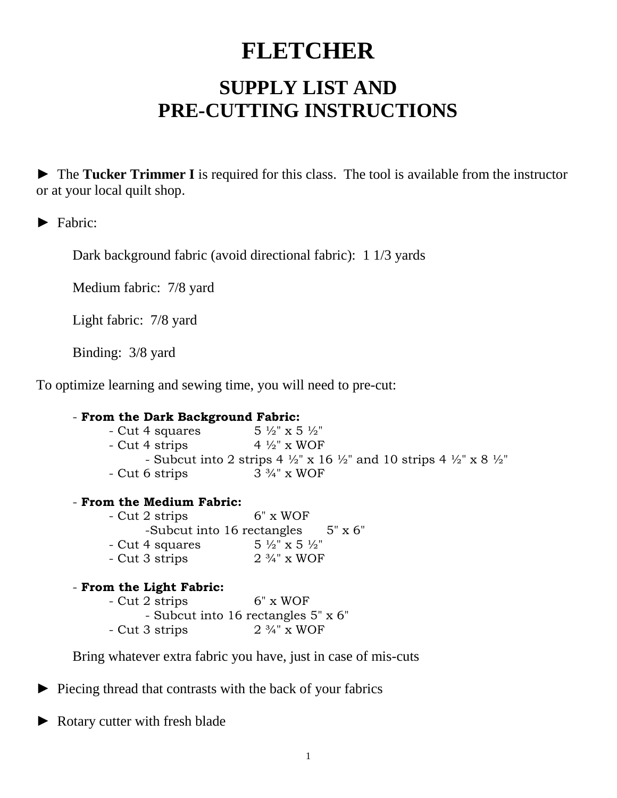## **FLETCHER**

## **SUPPLY LIST AND PRE-CUTTING INSTRUCTIONS**

► The **Tucker Trimmer I** is required for this class. The tool is available from the instructor or at your local quilt shop.

► Fabric:

Dark background fabric (avoid directional fabric): 1 1/3 yards

Medium fabric: 7/8 yard

Light fabric: 7/8 yard

Binding: 3/8 yard

To optimize learning and sewing time, you will need to pre-cut:

| - From the Dark Background Fabric:                                                                                |                        |
|-------------------------------------------------------------------------------------------------------------------|------------------------|
| - Cut 4 squares $5\frac{1}{2}$ x 5 $\frac{1}{2}$ "                                                                |                        |
| - Cut 4 strips $4\frac{1}{2}$ x WOF                                                                               |                        |
| - Subcut into 2 strips 4 $\frac{1}{2}$ " x 16 $\frac{1}{2}$ " and 10 strips 4 $\frac{1}{2}$ " x 8 $\frac{1}{2}$ " |                        |
| - Cut 6 strips                                                                                                    | $3\frac{3}{4}$ " x WOF |
| - From the Medium Fabric:                                                                                         |                        |
| - Cut 2 strips                                                                                                    | $6" \times WOF$        |
| -Subcut into 16 rectangles $5" \times 6"$                                                                         |                        |
| - Cut 4 squares $5\frac{1}{2}$ x 5 $\frac{1}{2}$ "                                                                |                        |
| - Cut 3 strips                                                                                                    | $2\frac{3}{4}$ " x WOF |
| - From the Light Fabric:                                                                                          |                        |
| - Cut 2 strips                                                                                                    | $6" \times WOF$        |
| - Subcut into 16 rectangles 5" x 6"                                                                               |                        |
| - Cut 3 strips                                                                                                    | $2\frac{3}{4}$ " x WOF |

Bring whatever extra fabric you have, just in case of mis-cuts

► Piecing thread that contrasts with the back of your fabrics

► Rotary cutter with fresh blade